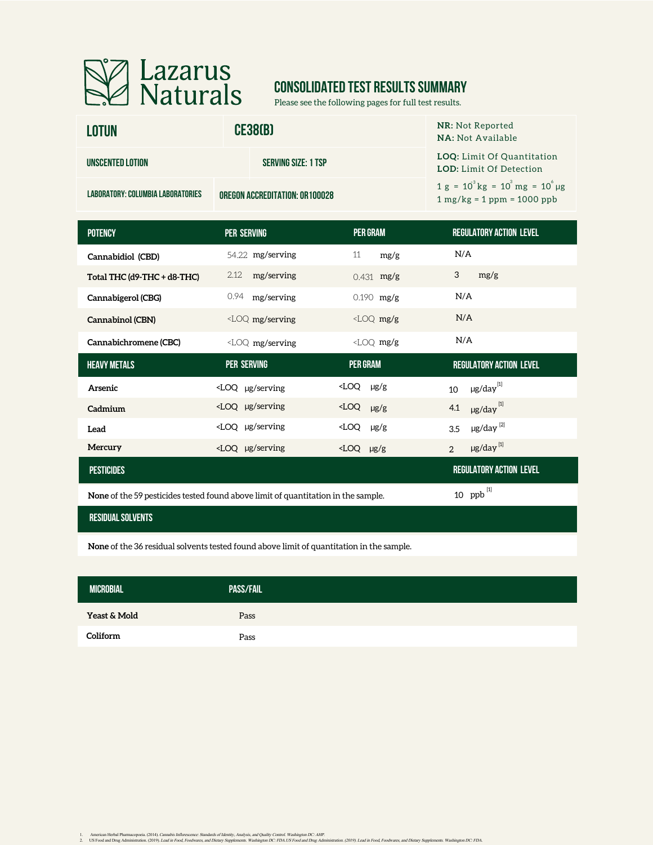

# **CONSOLIDATED TEST RESULTS SUMMARY**

Please see the following pages for full test results.

| <b>LOTUN</b>                      | <b>CE38(B)</b>                         | <b>NR:</b> Not Reported<br><b>NA: Not Available</b>                          |
|-----------------------------------|----------------------------------------|------------------------------------------------------------------------------|
| UNSCENTED LOTION                  | <b>SERVING SIZE: 1 TSP</b>             | <b>LOQ:</b> Limit Of Quantitation<br><b>LOD:</b> Limit Of Detection          |
| LABORATORY: COLUMBIA LABORATORIES | <b>OREGON ACCREDITATION: OR 100028</b> | $1 g = 10^{3} kg = 10^{3} mg = 10^{6} \mu g$<br>$1 mg/kg = 1 ppm = 1000 ppb$ |

| <b>POTENCY</b>                                                                                                      | <b>PER SERVING</b>                                                                                                                                                    | <b>PER GRAM</b>        | <b>REGULATORY ACTION LEVEL</b>         |  |  |  |
|---------------------------------------------------------------------------------------------------------------------|-----------------------------------------------------------------------------------------------------------------------------------------------------------------------|------------------------|----------------------------------------|--|--|--|
| Cannabidiol (CBD)                                                                                                   | 54.22 mg/serving                                                                                                                                                      | 11<br>mg/g             | N/A                                    |  |  |  |
| Total THC (d9-THC + d8-THC)                                                                                         | mg/serving<br>2.12                                                                                                                                                    | $0.431$ mg/g           | 3<br>mg/g                              |  |  |  |
| Cannabigerol (CBG)                                                                                                  | 0.94<br>mg/serving                                                                                                                                                    | $0.190$ mg/g           | N/A                                    |  |  |  |
| Cannabinol (CBN)                                                                                                    | $\angle$ LOQ mg/serving                                                                                                                                               | $<$ LOQ mg/g           | N/A                                    |  |  |  |
| Cannabichromene (CBC)                                                                                               | <loq mg="" serving<="" td=""><td><math>\angle</math>LOQ mg/g</td><td>N/A</td></loq>                                                                                   | $\angle$ LOQ mg/g      | N/A                                    |  |  |  |
| <b>HEAVY METALS</b>                                                                                                 | <b>PER SERVING</b>                                                                                                                                                    | <b>PER GRAM</b>        | <b>REGULATORY ACTION LEVEL</b>         |  |  |  |
| Arsenic                                                                                                             | $\angle$ LOQ µg/serving                                                                                                                                               | $\angle$ LOQ $\mu$ g/g | $\mu$ g/day <sup>[1]</sup><br>10       |  |  |  |
| Cadmium                                                                                                             | <loq serving<="" td="" µg=""><td><math>\angle</math>LOQ <math>\mu</math>g/g</td><td><math>\mu</math>g/day<math>^{[1]}</math><br/>4.1</td></loq>                       | $\angle$ LOQ $\mu$ g/g | $\mu$ g/day $^{[1]}$<br>4.1            |  |  |  |
| Lead                                                                                                                | <loq serving<="" td="" µg=""><td><math>\angle</math>LOQ <math>\mu</math>g/g</td><td><math>\mu</math>g/day<math>^{[2]}</math><br/>3.5</td></loq>                       | $\angle$ LOQ $\mu$ g/g | $\mu$ g/day $^{[2]}$<br>3.5            |  |  |  |
| Mercury                                                                                                             | <loq serving<="" td="" µg=""><td><math>\angle</math>LOQ <math>\mu</math>g/g</td><td><math>\mu</math>g/day<math>^{[1]}</math><br/><math>\overline{2}</math></td></loq> | $\angle$ LOQ $\mu$ g/g | $\mu$ g/day $^{[1]}$<br>$\overline{2}$ |  |  |  |
| <b>PESTICIDES</b>                                                                                                   |                                                                                                                                                                       |                        | <b>REGULATORY ACTION LEVEL</b>         |  |  |  |
| 10 $ppb$ <sup>[1]</sup><br><b>None</b> of the 59 pesticides tested found above limit of quantitation in the sample. |                                                                                                                                                                       |                        |                                        |  |  |  |

**None** of the 59 pesticides tested found above limit of quantitation in the sample.

### **residual solvents**

**None** of the 36 residual solvents tested found above limit of quantitation in the sample.

| <b>MICROBIAL</b> | <b>PASS/FAIL</b> |  |
|------------------|------------------|--|
| Yeast & Mold     | Pass             |  |
| Coliform         | Pass             |  |

1. American Herbal Pharmacopoeia. (2014). Cananki Inflorescaree: Standards of Identity. Analysia, and yeality. Contol. Washington DC: AHP.<br>2. US Food and Drug Administration, (2019). Lead in Food, Food, Face, Washington DC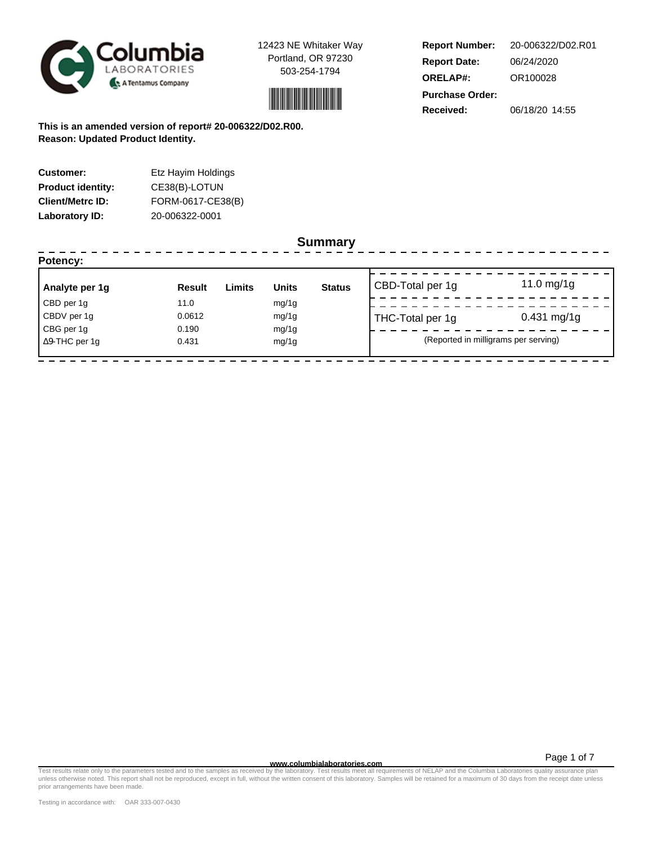



**Report Number: Report Date: ORELAP#:** 06/24/2020 OR100028 **Received:** 06/18/20 14:55 **Purchase Order:** 20-006322/D02.R01

**This is an amended version of report# 20-006322/D02.R00. Reason: Updated Product Identity.**

| <b>Customer:</b>         | Etz Hayim Holdings |
|--------------------------|--------------------|
| <b>Product identity:</b> | CE38(B)-LOTUN      |
| <b>Client/Metrc ID:</b>  | FORM-0617-CE38(B)  |
| <b>Laboratory ID:</b>    | 20-006322-0001     |

## **Summary**

| Potency:              |               |        |              | ----------    |                  |                                      |
|-----------------------|---------------|--------|--------------|---------------|------------------|--------------------------------------|
| Analyte per 1g        | <b>Result</b> | Limits | <b>Units</b> | <b>Status</b> | CBD-Total per 1g | 11.0 mg/1g                           |
| CBD per 1g            | 11.0          |        | mg/1g        |               |                  |                                      |
| CBDV per 1g           | 0.0612        |        | mg/1g        |               | THC-Total per 1g | $0.431$ mg/1g                        |
| CBG per 1g            | 0.190         |        | mg/1g        |               |                  |                                      |
| $\Delta$ 9-THC per 1q | 0.431         |        | mg/1g        |               |                  | (Reported in milligrams per serving) |
|                       |               |        |              |               |                  |                                      |

Page 1 of 7

Test results relate only to the parameters tested and to the samples as receive**d www.columbialaboratories.com**<br>In the understanding mention of DELAP and the Columbia Laboratory of the Mitter consent of this laboratory. Sa prior arrangements have been made.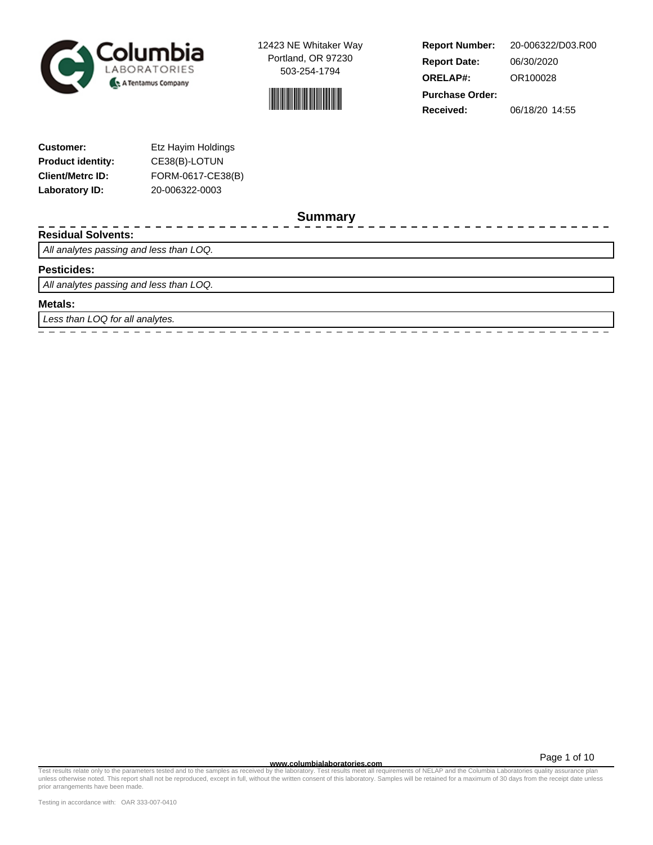



**Report Number: Report Date: ORELAP#:** 06/30/2020 OR100028 **Received:** 06/18/20 14:55 **Purchase Order:** 20-006322/D03.R00

| <b>Customer:</b>         | Etz Hayim Holdings |
|--------------------------|--------------------|
| <b>Product identity:</b> | CE38(B)-LOTUN      |
| <b>Client/Metrc ID:</b>  | FORM-0617-CE38(B)  |
| Laboratory ID:           | 20-006322-0003     |

**Summary**

### **Residual Solvents:**

All analytes passing and less than LOQ.

#### **Pesticides:**

All analytes passing and less than LOQ.

#### **Metals:**

Less than LOQ for all analytes.

Page 1 of 10

 $\equiv$ 

**www.columbialaboratories.com** Test results relate only to the parameters tested and to the samples as received by the laboratory. Test results meet all requirements of NELAP and the Columbia Laboratories quality assurance plan unless otherwise noted. This report shall not be reproduced, except in full, without the written consent of this laboratory. Samples will be retained for a maximum of 30 days from the receipt date unless prior arrangements have been made.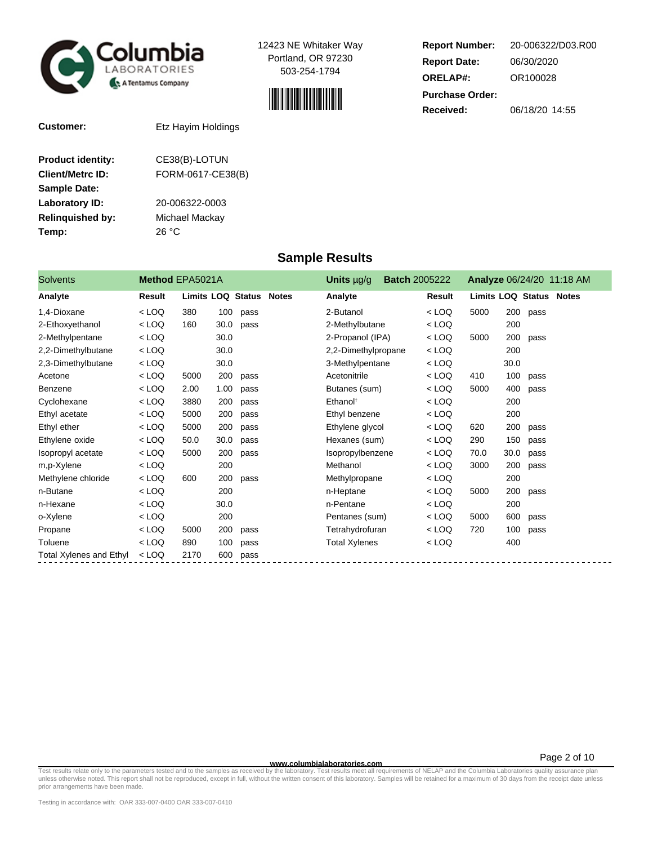



**Report Number: Report Date: ORELAP#:** 06/30/2020 OR100028 **Received:** 06/18/20 14:55 **Purchase Order:** 20-006322/D03.R00

**Customer:** Etz Hayim Holdings

| <b>Product identity:</b> | CE38(B)-LOTUN     |
|--------------------------|-------------------|
| <b>Client/Metrc ID:</b>  | FORM-0617-CE38(B) |
| <b>Sample Date:</b>      |                   |
| <b>Laboratory ID:</b>    | 20-006322-0003    |
| <b>Relinguished by:</b>  | Michael Mackay    |
| Temp:                    | 26 °C             |
|                          |                   |

## **Sample Results**

| <b>Solvents</b>                | Method EPA5021A |                   |      |              | <b>Batch 2005222</b><br><b>Units</b> $\mu$ g/g |         |                                |      |      | Analyze 06/24/20 11:18 AM |
|--------------------------------|-----------------|-------------------|------|--------------|------------------------------------------------|---------|--------------------------------|------|------|---------------------------|
| Analyte                        | Result          | Limits LOQ Status |      | <b>Notes</b> | Analyte                                        | Result  | <b>Limits LOQ Status Notes</b> |      |      |                           |
| 1,4-Dioxane                    | $<$ LOQ         | 380               | 100  | pass         | 2-Butanol                                      | $<$ LOQ | 5000                           | 200  | pass |                           |
| 2-Ethoxyethanol                | $<$ LOQ         | 160               | 30.0 | pass         | 2-Methylbutane                                 | $<$ LOQ |                                | 200  |      |                           |
| 2-Methylpentane                | $<$ LOQ         |                   | 30.0 |              | 2-Propanol (IPA)                               | $<$ LOQ | 5000                           | 200  | pass |                           |
| 2,2-Dimethylbutane             | $<$ LOQ         |                   | 30.0 |              | 2,2-Dimethylpropane                            | $<$ LOQ |                                | 200  |      |                           |
| 2,3-Dimethylbutane             | $<$ LOQ         |                   | 30.0 |              | 3-Methylpentane                                | $<$ LOQ |                                | 30.0 |      |                           |
| Acetone                        | $<$ LOQ         | 5000              | 200  | pass         | Acetonitrile                                   | $<$ LOQ | 410                            | 100  | pass |                           |
| Benzene                        | $<$ LOQ         | 2.00              | 1.00 | pass         | Butanes (sum)                                  | < LOQ   | 5000                           | 400  | pass |                           |
| Cyclohexane                    | $<$ LOQ         | 3880              | 200  | pass         | Ethanol <sup>t</sup>                           | $<$ LOQ |                                | 200  |      |                           |
| Ethyl acetate                  | $<$ LOQ         | 5000              | 200  | pass         | Ethyl benzene                                  | $<$ LOQ |                                | 200  |      |                           |
| Ethyl ether                    | $<$ LOQ         | 5000              | 200  | pass         | Ethylene glycol                                | $<$ LOQ | 620                            | 200  | pass |                           |
| Ethylene oxide                 | $<$ LOQ         | 50.0              | 30.0 | pass         | Hexanes (sum)                                  | $<$ LOQ | 290                            | 150  | pass |                           |
| Isopropyl acetate              | $<$ LOQ         | 5000              | 200  | pass         | Isopropylbenzene                               | $<$ LOQ | 70.0                           | 30.0 | pass |                           |
| m,p-Xylene                     | $<$ LOQ         |                   | 200  |              | Methanol                                       | $<$ LOQ | 3000                           | 200  | pass |                           |
| Methylene chloride             | $<$ LOQ         | 600               | 200  | pass         | Methylpropane                                  | $<$ LOQ |                                | 200  |      |                           |
| n-Butane                       | $<$ LOQ         |                   | 200  |              | n-Heptane                                      | $<$ LOQ | 5000                           | 200  | pass |                           |
| n-Hexane                       | $<$ LOQ         |                   | 30.0 |              | n-Pentane                                      | $<$ LOQ |                                | 200  |      |                           |
| o-Xylene                       | $<$ LOQ         |                   | 200  |              | Pentanes (sum)                                 | $<$ LOQ | 5000                           | 600  | pass |                           |
| Propane                        | $<$ LOQ         | 5000              | 200  | pass         | Tetrahydrofuran                                | $<$ LOQ | 720                            | 100  | pass |                           |
| Toluene                        | $<$ LOQ         | 890               | 100  | pass         | <b>Total Xylenes</b>                           | $<$ LOQ |                                | 400  |      |                           |
| <b>Total Xylenes and Ethyl</b> | $<$ LOQ         | 2170              | 600  | pass         |                                                |         |                                |      |      |                           |

Page 2 of 10

— et al., and the parameters tested and to the samples as receive**d www.columbialaboratories.com**<br>Test requirements of NELAP and the Columbia Laboratory on the Microsofty. Test results meet all requirements of NELAP and th prior arrangements have been made.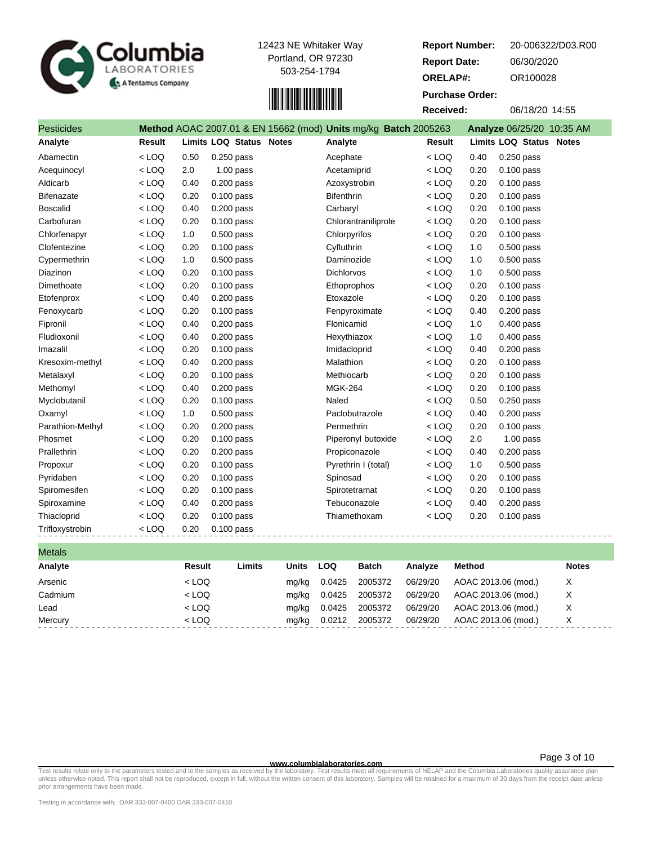



| Report Number:         | 20-006322/D03.R00                                                                                      |
|------------------------|--------------------------------------------------------------------------------------------------------|
| <b>Report Date:</b>    | 06/30/2020                                                                                             |
| <b>ORELAP#:</b>        | OR100028                                                                                               |
| <b>Purchase Order:</b> |                                                                                                        |
| Received:              | 06/18/20 14:55                                                                                         |
| $- - - - -$            | $\mathbf{A} \mathbf{A} \mathbf{A} = \mathbf{A} \mathbf{A} \mathbf{A} \mathbf{A} \mathbf{A} \mathbf{A}$ |

| <b>Pesticides</b> |         |      |                         | Method AOAC 2007.01 & EN 15662 (mod) Units mg/kg Batch 2005263 |               |      | Analyze 06/25/20 10:35 AM |
|-------------------|---------|------|-------------------------|----------------------------------------------------------------|---------------|------|---------------------------|
| Analyte           | Result  |      | Limits LOQ Status Notes | Analyte                                                        | <b>Result</b> |      | Limits LOQ Status Notes   |
| Abamectin         | $<$ LOQ | 0.50 | $0.250$ pass            | Acephate                                                       | $<$ LOQ       | 0.40 | $0.250$ pass              |
| Acequinocyl       | $<$ LOQ | 2.0  | $1.00$ pass             | Acetamiprid                                                    | $<$ LOQ       | 0.20 | $0.100$ pass              |
| Aldicarb          | $<$ LOQ | 0.40 | $0.200$ pass            | Azoxystrobin                                                   | $<$ LOQ       | 0.20 | $0.100$ pass              |
| <b>Bifenazate</b> | $<$ LOQ | 0.20 | $0.100$ pass            | <b>Bifenthrin</b>                                              | $<$ LOQ       | 0.20 | $0.100$ pass              |
| <b>Boscalid</b>   | $<$ LOQ | 0.40 | $0.200$ pass            | Carbaryl                                                       | $<$ LOQ       | 0.20 | $0.100$ pass              |
| Carbofuran        | $<$ LOQ | 0.20 | $0.100$ pass            | Chlorantraniliprole                                            | $<$ LOQ       | 0.20 | $0.100$ pass              |
| Chlorfenapyr      | $<$ LOQ | 1.0  | $0.500$ pass            | Chlorpyrifos                                                   | $<$ LOQ       | 0.20 | $0.100$ pass              |
| Clofentezine      | $<$ LOQ | 0.20 | $0.100$ pass            | Cyfluthrin                                                     | $<$ LOQ       | 1.0  | $0.500$ pass              |
| Cypermethrin      | $<$ LOQ | 1.0  | $0.500$ pass            | Daminozide                                                     | $<$ LOQ       | 1.0  | $0.500$ pass              |
| Diazinon          | $<$ LOQ | 0.20 | $0.100$ pass            | <b>Dichlorvos</b>                                              | $<$ LOQ       | 1.0  | $0.500$ pass              |
| Dimethoate        | $<$ LOQ | 0.20 | $0.100$ pass            | Ethoprophos                                                    | $<$ LOQ       | 0.20 | $0.100$ pass              |
| Etofenprox        | $<$ LOQ | 0.40 | $0.200$ pass            | Etoxazole                                                      | $<$ LOQ       | 0.20 | $0.100$ pass              |
| Fenoxycarb        | $<$ LOQ | 0.20 | $0.100$ pass            | Fenpyroximate                                                  | $<$ LOQ       | 0.40 | $0.200$ pass              |
| Fipronil          | $<$ LOQ | 0.40 | $0.200$ pass            | Flonicamid                                                     | $<$ LOQ       | 1.0  | $0.400$ pass              |
| Fludioxonil       | $<$ LOQ | 0.40 | $0.200$ pass            | Hexythiazox                                                    | $<$ LOQ       | 1.0  | $0.400$ pass              |
| Imazalil          | $<$ LOQ | 0.20 | $0.100$ pass            | Imidacloprid                                                   | $<$ LOQ       | 0.40 | $0.200$ pass              |
| Kresoxim-methyl   | $<$ LOQ | 0.40 | $0.200$ pass            | Malathion                                                      | $<$ LOQ       | 0.20 | $0.100$ pass              |
| Metalaxyl         | $<$ LOQ | 0.20 | $0.100$ pass            | Methiocarb                                                     | $<$ LOQ       | 0.20 | $0.100$ pass              |
| Methomyl          | $<$ LOQ | 0.40 | $0.200$ pass            | <b>MGK-264</b>                                                 | $<$ LOQ       | 0.20 | 0.100 pass                |
| Myclobutanil      | $<$ LOQ | 0.20 | $0.100$ pass            | Naled                                                          | $<$ LOQ       | 0.50 | $0.250$ pass              |
| Oxamyl            | $<$ LOQ | 1.0  | $0.500$ pass            | Paclobutrazole                                                 | $<$ LOQ       | 0.40 | $0.200$ pass              |
| Parathion-Methyl  | $<$ LOQ | 0.20 | 0.200 pass              | Permethrin                                                     | $<$ LOQ       | 0.20 | $0.100$ pass              |
| Phosmet           | $<$ LOQ | 0.20 | $0.100$ pass            | Piperonyl butoxide                                             | $<$ LOQ       | 2.0  | $1.00$ pass               |
| Prallethrin       | $<$ LOQ | 0.20 | $0.200$ pass            | Propiconazole                                                  | $<$ LOQ       | 0.40 | $0.200$ pass              |
| Propoxur          | $<$ LOQ | 0.20 | $0.100$ pass            | Pyrethrin I (total)                                            | $<$ LOQ       | 1.0  | $0.500$ pass              |
| Pyridaben         | $<$ LOQ | 0.20 | $0.100$ pass            | Spinosad                                                       | $<$ LOQ       | 0.20 | 0.100 pass                |
| Spiromesifen      | $<$ LOQ | 0.20 | $0.100$ pass            | Spirotetramat                                                  | $<$ LOQ       | 0.20 | $0.100$ pass              |
| Spiroxamine       | $<$ LOQ | 0.40 | $0.200$ pass            | Tebuconazole                                                   | $<$ LOQ       | 0.40 | $0.200$ pass              |
| Thiacloprid       | $<$ LOQ | 0.20 | $0.100$ pass            | Thiamethoxam                                                   | $<$ LOQ       | 0.20 | $0.100$ pass              |
| Trifloxystrobin   | $<$ LOQ | 0.20 | $0.100$ pass            |                                                                |               |      |                           |
|                   |         |      |                         |                                                                |               |      |                           |

| <b>Metals</b> |         |        |       |            |              |          |                     |              |
|---------------|---------|--------|-------|------------|--------------|----------|---------------------|--------------|
| Analyte       | Result  | Limits | Units | <b>LOQ</b> | <b>Batch</b> | Analyze  | Method              | <b>Notes</b> |
| Arsenic       | $<$ LOQ |        | ma/ka | 0.0425     | 2005372      | 06/29/20 | AOAC 2013.06 (mod.) | X            |
| Cadmium       | $<$ LOQ |        | ma/ka | 0.0425     | 2005372      | 06/29/20 | AOAC 2013.06 (mod.) | Х            |
| Lead          | $<$ LOQ |        | ma/ka | 0.0425     | 2005372      | 06/29/20 | AOAC 2013.06 (mod.) | X            |
| Mercury       | $<$ LOQ |        | ma/ka | 0.0212     | 2005372      | 06/29/20 | AOAC 2013.06 (mod.) | X            |

**WWW.columbialaboratories.com**<br>unless otherwise noted. This report shall not be reproduced, except in full, without the written consent of this laboratory. Test results meet all requirements of NELAP and the Columbia Labor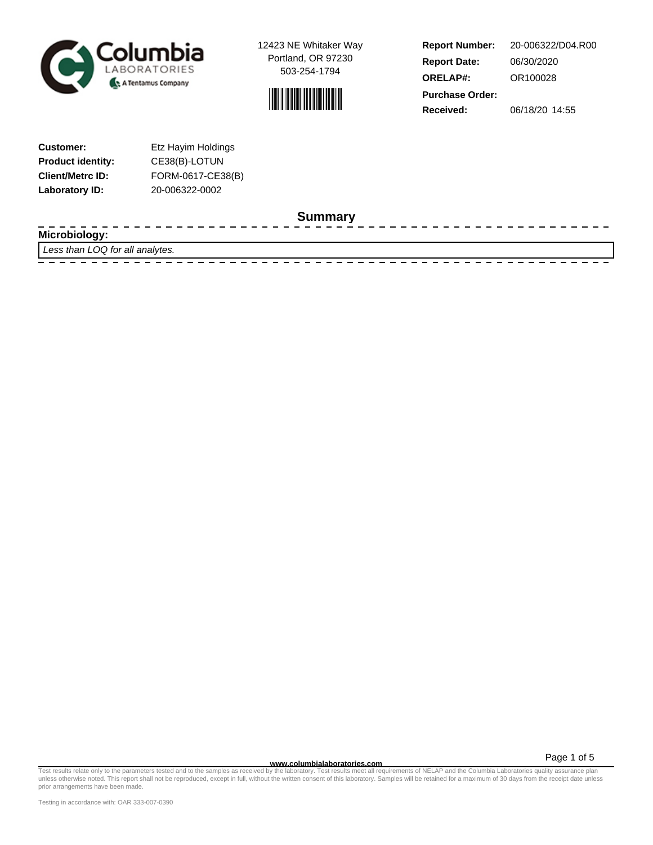



**Report Number: Report Date: ORELAP#:** 06/30/2020 OR100028 **Received:** 06/18/20 14:55 **Purchase Order:** 20-006322/D04.R00

| <b>Customer:</b>         | Etz Hayim Holdings |
|--------------------------|--------------------|
| <b>Product identity:</b> | CE38(B)-LOTUN      |
| <b>Client/Metrc ID:</b>  | FORM-0617-CE38(B)  |
| Laboratory ID:           | 20-006322-0002     |

**Summary**

| ----<br>Microbiolog<br>www.          |
|--------------------------------------|
| Less than LOQ for all<br>l analytes. |
|                                      |

Test results relate only to the parameters tested and to the samples as received by the laboratory. Test results meet all requirements of NELAP and the Columbia Laboratories quality assurance plan<br>unless otherwise noted. T